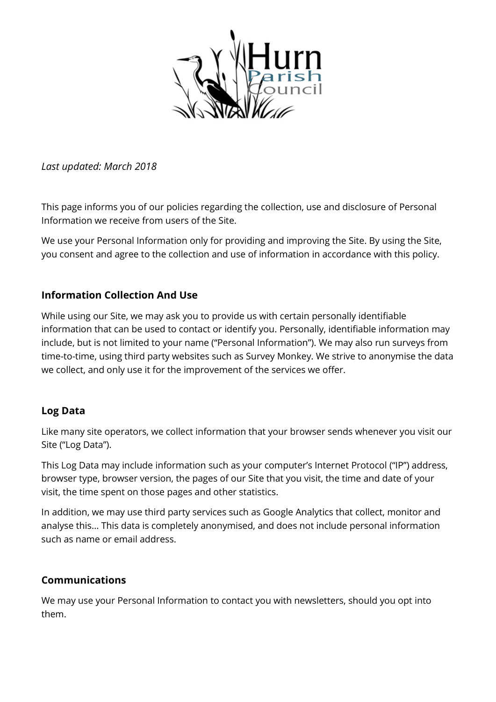

*Last updated: March 2018*

This page informs you of our policies regarding the collection, use and disclosure of Personal Information we receive from users of the Site.

We use your Personal Information only for providing and improving the Site. By using the Site, you consent and agree to the collection and use of information in accordance with this policy.

## **Information Collection And Use**

While using our Site, we may ask you to provide us with certain personally identifiable information that can be used to contact or identify you. Personally, identifiable information may include, but is not limited to your name ("Personal Information"). We may also run surveys from time-to-time, using third party websites such as Survey Monkey. We strive to anonymise the data we collect, and only use it for the improvement of the services we offer.

#### **Log Data**

Like many site operators, we collect information that your browser sends whenever you visit our Site ("Log Data").

This Log Data may include information such as your computer's Internet Protocol ("IP") address, browser type, browser version, the pages of our Site that you visit, the time and date of your visit, the time spent on those pages and other statistics.

In addition, we may use third party services such as Google Analytics that collect, monitor and analyse this… This data is completely anonymised, and does not include personal information such as name or email address.

#### **Communications**

We may use your Personal Information to contact you with newsletters, should you opt into them.